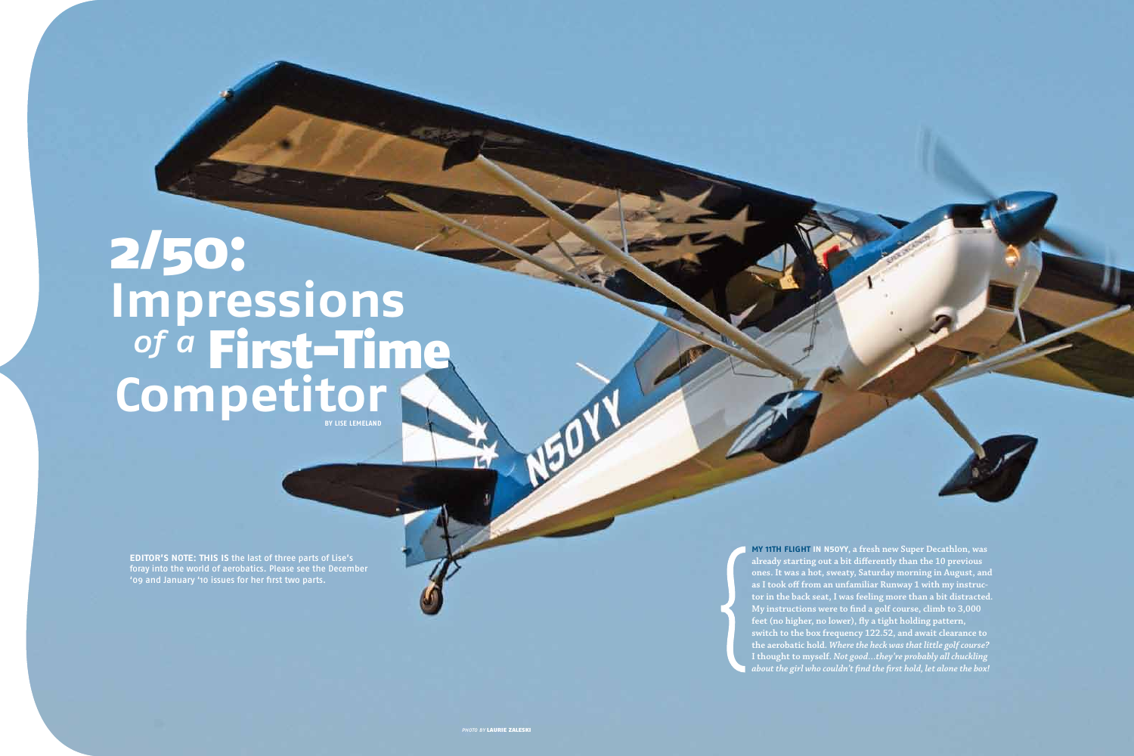**My 11th flight in N50YY, a fresh new Super Decathlon, was** 

# **BY Lise Lemeland** of a First-Time **Competitor** 2/50: **Impressions** of a

**already starting out a bit differently than the 10 previous ones. It was a hot, sweaty, Saturday morning in August, and as I took off from an unfamiliar Runway 1 with my instructor in the back seat, I was feeling more than a bit distracted. My instructions were to find a golf course, climb to 3,000 feet (no higher, no lower), fly a tight holding pattern, switch to the box frequency 122.52, and await clearance to the aerobatic hold.** *Where the heck was that little golf course?* **I thought to myself.** *Not good…they're probably all chuckling about the girl who couldn't find the first hold, let alone the box!*

PHOTO BY LAURIE ZALESKI

**Editor's Note: This is** the last of three parts of Lise's foray into the world of aerobatics. Please see the December '09 and January '10 issues for her first two parts.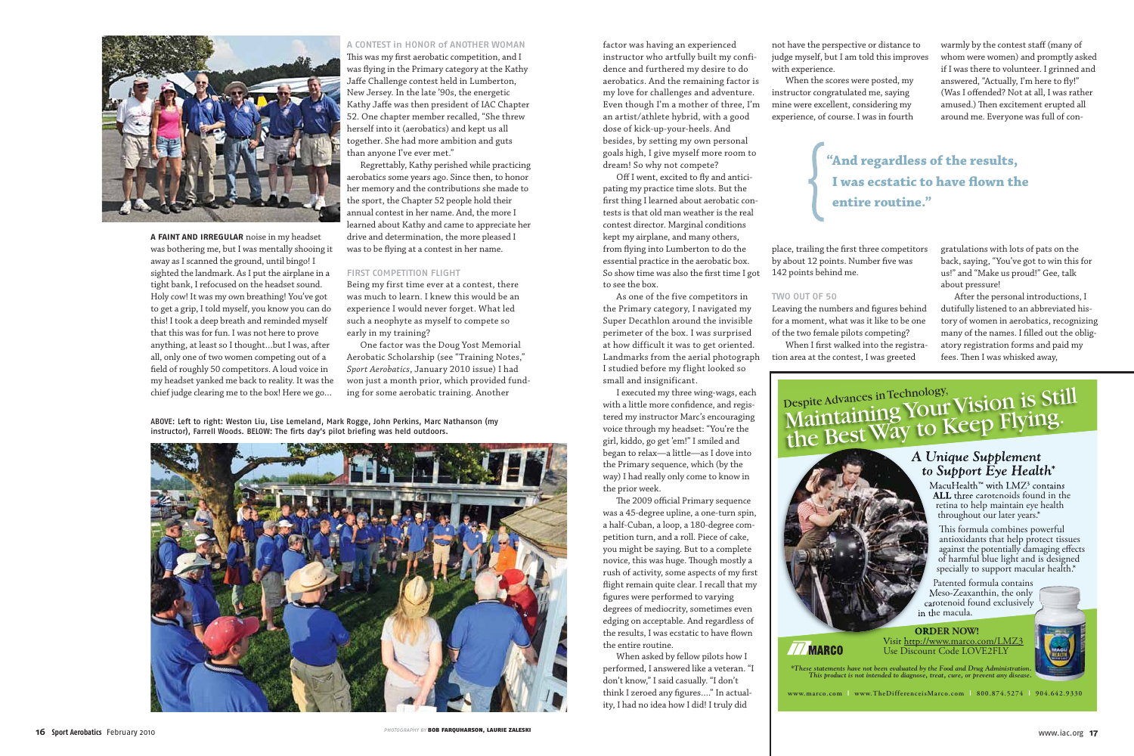

**A faint and irregular** noise in my headset was bothering me, but I was mentally shooing it away as I scanned the ground, until bingo! I sighted the landmark. As I put the airplane in a tight bank, I refocused on the headset sound. Holy cow! It was my own breathing! You've got to get a grip, I told myself, you know you can do this! I took a deep breath and reminded myself that this was for fun. I was not here to prove anything, at least so I thought…but I was, after all, only one of two women competing out of a field of roughly 50 competitors. A loud voice in my headset yanked me back to reality. It was the chief judge clearing me to the box! Here we go…

### A CONTEST in HONOR of ANOTHER WOMAN

This was my first aerobatic competition, and I was flying in the Primary category at the Kathy Jaffe Challenge contest held in Lumberton, New Jersey. In the late '90s, the energetic Kathy Jaffe was then president of IAC Chapter 52. One chapter member recalled, "She threw herself into it (aerobatics) and kept us all together. She had more ambition and guts than anyone I've ever met."

Regrettably, Kathy perished while practicing aerobatics some years ago. Since then, to honor her memory and the contributions she made to the sport, the Chapter 52 people hold their annual contest in her name. And, the more I learned about Kathy and came to appreciate her drive and determination, the more pleased I was to be flying at a contest in her name.

### FIRST COMPETITION FLIGHT

Being my first time ever at a contest, there was much to learn. I knew this would be an experience I would never forget. What led such a neophyte as myself to compete so early in my training?

One factor was the Doug Yost Memorial Aerobatic Scholarship (see "Training Notes," *Sport Aerobatics*, January 2010 issue) I had won just a month prior, which provided funding for some aerobatic training. Another

factor was having an experienced instructor who artfully built my confidence and furthered my desire to do aerobatics. And the remaining factor is my love for challenges and adventure. Even though I'm a mother of three, I'm an artist/athlete hybrid, with a good dose of kick-up-your-heels. And besides, by setting my own personal goals high, I give myself more room to dream! So why not compete?

> When I first walked into the registra- atory registration for tion area at the contest, I was greeted

Off I went, excited to fly and anticipating my practice time slots. But the first thing I learned about aerobatic contests is that old man weather is the real contest director. Marginal conditions kept my airplane, and many others, from flying into Lumberton to do the essential practice in the aerobatic box. So show time was also the first time I got to see the box.

As one of the five competitors in the Primary category, I navigated my Super Decathlon around the invisible perimeter of the box. I was surprised at how difficult it was to get oriented. Landmarks from the aerial photograph I studied before my flight looked so small and insignificant.

I executed my three wing-wags, each with a little more confidence, and registered my instructor Marc's encouraging voice through my headset: "You're the girl, kiddo, go get 'em!" I smiled and began to relax—a little—as I dove into the Primary sequence, which (by the way) I had really only come to know in the prior week.

The 2009 official Primary sequence was a 45-degree upline, a one-turn spin, a half-Cuban, a loop, a 180-degree competition turn, and a roll. Piece of cake, you might be saying. But to a complete novice, this was huge. Though mostly a rush of activity, some aspects of my first flight remain quite clear. I recall that my figures were performed to varying

degrees of mediocrity, sometimes even edging on acceptable. And regardless of the results, I was ecstatic to have flown the entire routine.

When asked by fellow pilots how I performed, I answered like a veteran. "I don't know," I said casually. "I don't think I zeroed any figures…." In actuality, I had no idea how I did! I truly did

not have the perspective or distance to judge myself, but I am told this improves with experience.

When the scores were posted, my instructor congratulated me, saying mine were excellent, considering my experience, of course. I was in fourth

place, trailing the first three competitors by about 12 points. Number five was 142 points behind me.

## Two Out of 50

Leaving the numbers and figures behind for a moment, what was it like to be one of the two female pilots competing?

warmly by the contest staff (many of whom were women) and promptly asked if I was there to volunteer. I grinned and answered, "Actually, I'm here to fly!" (Was I offended? Not at all, I was rather amused.) Then excitement erupted all around me. Everyone was full of con-

gratulations with lots of pats on the back, saying, "You've got to win this for us!" and "Make us proud!" Gee, talk about pressure!

After the personal introductions, I dutifully listened to an abbreviated history of women in aerobatics, recognizing many of the names. I filled out the obligatory registration forms and paid my fees. Then I was whisked away,

## <sub>Despite Advances in Technology,</sub><br>Maintaining Your Vision is Still<br>Maintaining Your Vision is Still Maintaining Tour Veep Flying.<br>the Best Way to Keep Flying.

## *A Unique Supplement to Support Eye Health\**

MacuHealth™ with LMZ3 contains **ALL** three carotenoids found in the retina to help maintain eye health throughout our later years.\*

is formula combines powerful antioxidants that help protect tissues against the potentially damaging effects of harmful blue light and is designed specially to support macular health.\*

Patented formula contains Meso-Zeaxanthin, the only carotenoid found exclusively in the macula.

**ORDER NOW!** Visit http://www.marco.com/LMZ3 Use Discount Code LOVE2FLY





**77 MARCO** 

**www.marco.com** | **www.TheDifferenceisMarco.com** | **800.874.5274** | **904.642.9330**

## **"And regardless of the results, I was ecstatic to have flown the entire routine."**

ABOVE: Left to right: Weston Liu, Lise Lemeland, Mark Rogge, John Perkins, Marc Nathanson (my instructor), Farrell Woods. BELOW: The firts day's pilot briefing was held outdoors.

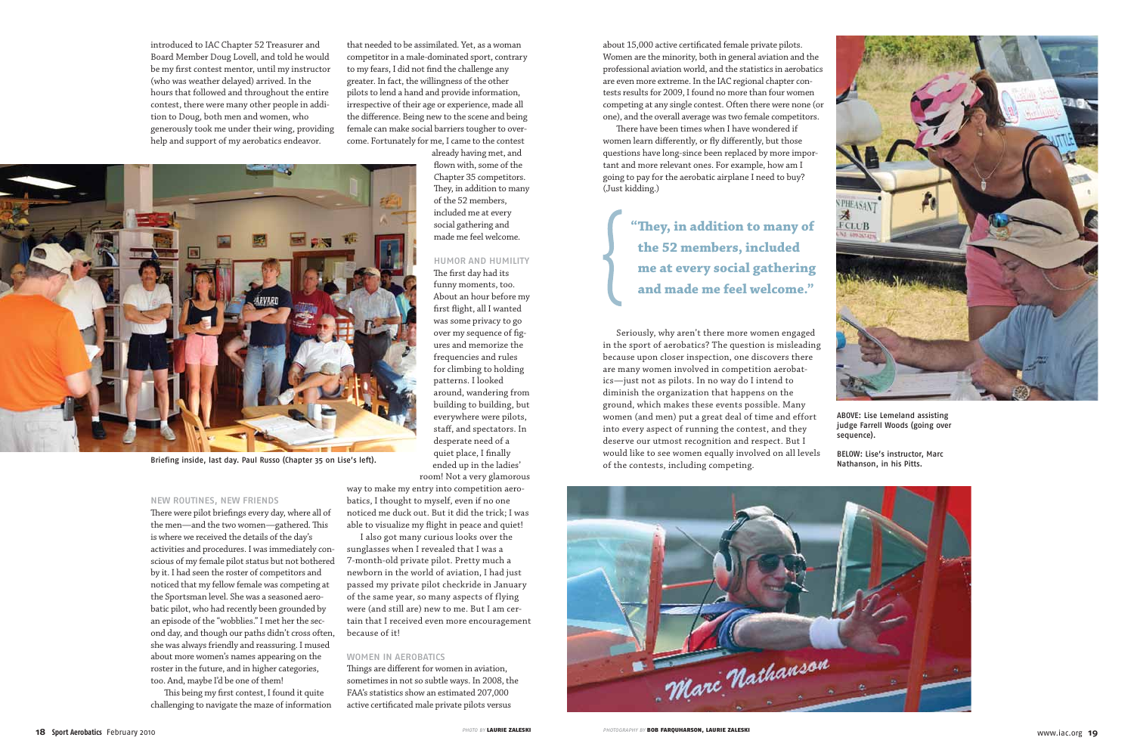introduced to IAC Chapter 52 Treasurer and Board Member Doug Lovell, and told he would be my first contest mentor, until my instructor (who was weather delayed) arrived. In the hours that followed and throughout the entire contest, there were many other people in addition to Doug, both men and women, who generously took me under their wing, providing help and support of my aerobatics endeavor.

## New Routines, New Friends

There were pilot briefings every day, where all of the men—and the two women—gathered. This is where we received the details of the day's activities and procedures. I was immediately conscious of my female pilot status but not bothered by it. I had seen the roster of competitors and noticed that my fellow female was competing at the Sportsman level. She was a seasoned aerobatic pilot, who had recently been grounded by an episode of the "wobblies." I met her the second day, and though our paths didn't cross often, she was always friendly and reassuring. I mused about more women's names appearing on the roster in the future, and in higher categories, too. And, maybe I'd be one of them!

This being my first contest, I found it quite challenging to navigate the maze of information

that needed to be assimilated. Yet, as a woman competitor in a male-dominated sport, contrary to my fears, I did not find the challenge any greater. In fact, the willingness of the other pilots to lend a hand and provide information, irrespective of their age or experience, made all the difference. Being new to the scene and being female can make social barriers tougher to overcome. Fortunately for me, I came to the contest already having met, and

> flown with, some of the Chapter 35 competitors. They, in addition to many of the 52 members, included me at every social gathering and made me feel welcome.

Humor and Humility The first day had its funny moments, too. About an hour before my first flight, all I wanted was some privacy to go over my sequence of figures and memorize the frequencies and rules for climbing to holding patterns. I looked around, wandering from building to building, but everywhere were pilots, staff, and spectators. In desperate need of a quiet place, I finally ended up in the ladies' room! Not a very glamorous

way to make my entry into competition aerobatics, I thought to myself, even if no one noticed me duck out. But it did the trick; I was able to visualize my flight in peace and quiet!

I also got many curious looks over the sunglasses when I revealed that I was a 7-month-old private pilot. Pretty much a newborn in the world of aviation, I had just passed my private pilot checkride in January of the same year, so many aspects of flying were (and still are) new to me. But I am certain that I received even more encouragement because of it!

#### WOMEN IN AEROBATICS

Things are different for women in aviation, sometimes in not so subtle ways. In 2008, the FAA's statistics show an estimated 207,000 active certificated male private pilots versus

about 15,000 active certificated female private pilots. Women are the minority, both in general aviation and the professional aviation world, and the statistics in aerobatics are even more extreme. In the IAC regional chapter contests results for 2009, I found no more than four women competing at any single contest. Often there were none (or one), and the overall average was two female competitors.

There have been times when I have wondered if women learn differently, or fly differently, but those questions have long-since been replaced by more important and more relevant ones. For example, how am I going to pay for the aerobatic airplane I need to buy? (Just kidding.)

Seriously, why aren't there more women engaged in the sport of aerobatics? The question is misleading because upon closer inspection, one discovers there are many women involved in competition aerobatics—just not as pilots. In no way do I intend to diminish the organization that happens on the ground, which makes these events possible. Many women (and men) put a great deal of time and effort into every aspect of running the contest, and they deserve our utmost recognition and respect. But I would like to see women equally involved on all levels of the contests, including competing.

**"They, in addition to many of the 52 members, included me at every social gathering and made me feel welcome."**



Briefing inside, last day. Paul Russo (Chapter 35 on Lise's left).



ABOVE: Lise Lemeland assisting judge Farrell Woods (going over sequence).

BELOW: Lise's instructor, Marc Nathanson, in his Pitts.